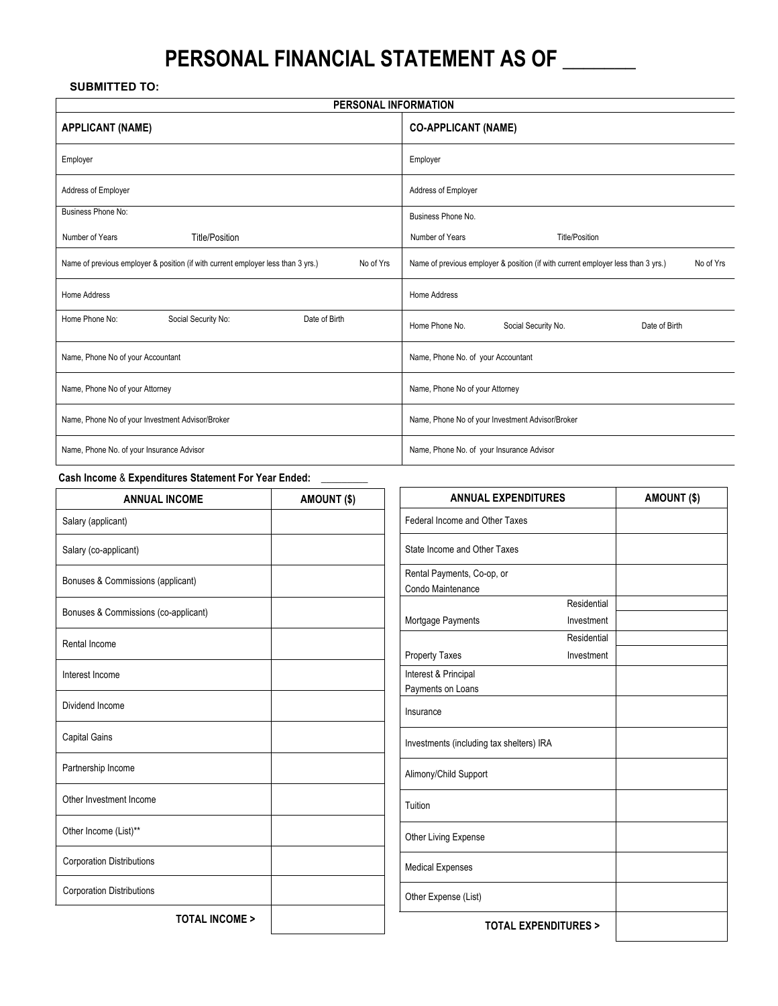# **PERSONAL FINANCIAL STATEMENT AS OF \_\_\_\_\_\_\_**

## **SUBMITTED TO:**

| PERSONAL INFORMATION                                                                          |                                                                                               |  |  |  |  |  |  |
|-----------------------------------------------------------------------------------------------|-----------------------------------------------------------------------------------------------|--|--|--|--|--|--|
| <b>APPLICANT (NAME)</b>                                                                       | <b>CO-APPLICANT (NAME)</b>                                                                    |  |  |  |  |  |  |
| Employer                                                                                      | Employer                                                                                      |  |  |  |  |  |  |
| Address of Employer                                                                           | Address of Employer                                                                           |  |  |  |  |  |  |
| <b>Business Phone No:</b>                                                                     | Business Phone No.                                                                            |  |  |  |  |  |  |
| Number of Years<br><b>Title/Position</b>                                                      | Number of Years<br><b>Title/Position</b>                                                      |  |  |  |  |  |  |
| Name of previous employer & position (if with current employer less than 3 yrs.)<br>No of Yrs | Name of previous employer & position (if with current employer less than 3 yrs.)<br>No of Yrs |  |  |  |  |  |  |
| Home Address                                                                                  | Home Address                                                                                  |  |  |  |  |  |  |
| Home Phone No:<br>Social Security No:<br>Date of Birth                                        | Home Phone No.<br>Social Security No.<br>Date of Birth                                        |  |  |  |  |  |  |
| Name, Phone No of your Accountant                                                             | Name, Phone No. of your Accountant                                                            |  |  |  |  |  |  |
| Name, Phone No of your Attorney                                                               | Name, Phone No of your Attorney                                                               |  |  |  |  |  |  |
| Name, Phone No of your Investment Advisor/Broker                                              | Name, Phone No of your Investment Advisor/Broker                                              |  |  |  |  |  |  |
| Name, Phone No. of your Insurance Advisor                                                     | Name, Phone No. of your Insurance Advisor                                                     |  |  |  |  |  |  |

## **Cash Income** & **Expenditures Statement For Year Ended: \_\_\_\_\_\_\_\_\_**

| <b>ANNUAL INCOME</b>                 | AMOUNT (\$) | <b>ANNUAL EXPENDITURES</b>                      |                                | AMOUNT (\$) |
|--------------------------------------|-------------|-------------------------------------------------|--------------------------------|-------------|
| Salary (applicant)                   |             | Federal Income and Other Taxes                  |                                |             |
| Salary (co-applicant)                |             | State Income and Other Taxes                    |                                |             |
| Bonuses & Commissions (applicant)    |             | Rental Payments, Co-op, or<br>Condo Maintenance |                                |             |
| Bonuses & Commissions (co-applicant) |             | Mortgage Payments                               | Residential<br>Investment      |             |
| Rental Income                        |             |                                                 | Residential                    |             |
|                                      |             | <b>Property Taxes</b>                           | Investment                     |             |
| Interest Income                      |             | Interest & Principal                            |                                |             |
| Dividend Income                      |             | Payments on Loans<br>Insurance                  |                                |             |
| <b>Capital Gains</b>                 |             | Investments (including tax shelters) IRA        |                                |             |
| Partnership Income                   |             | Alimony/Child Support                           |                                |             |
| Other Investment Income              |             | Tuition                                         |                                |             |
| Other Income (List)**                |             | Other Living Expense                            |                                |             |
| <b>Corporation Distributions</b>     |             | <b>Medical Expenses</b>                         |                                |             |
| <b>Corporation Distributions</b>     |             | Other Expense (List)                            |                                |             |
| <b>TOTAL INCOME &gt;</b>             |             |                                                 | <b>TOTAL EXPENDITURES &gt;</b> |             |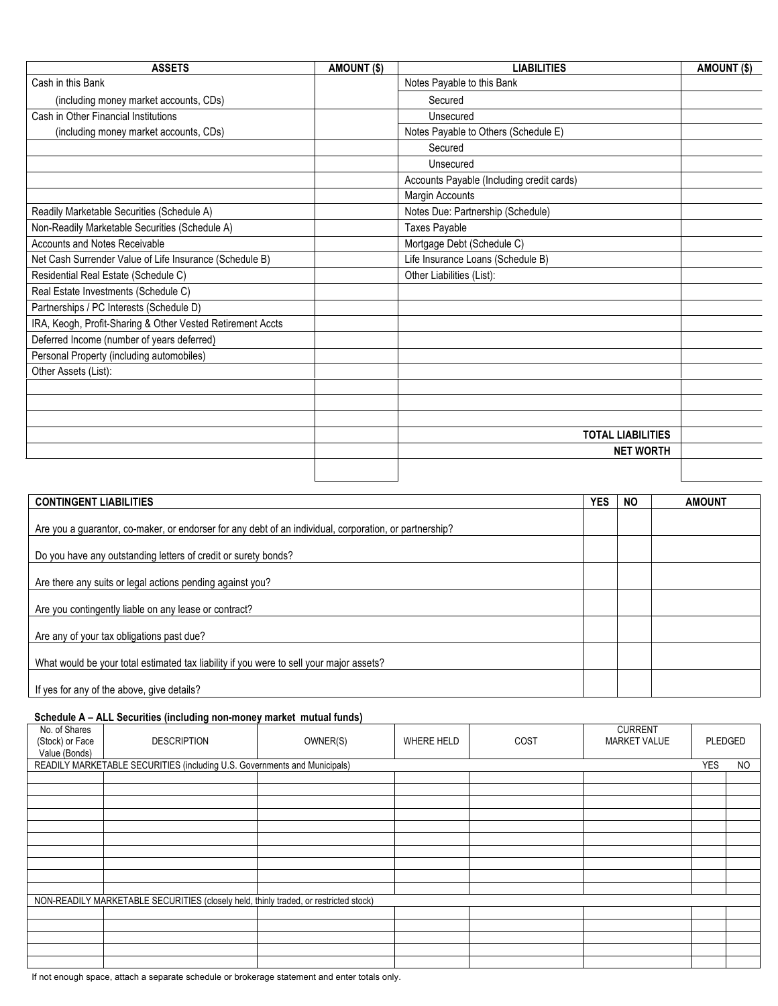| <b>ASSETS</b>                                              | AMOUNT (\$) | <b>LIABILITIES</b>                        | AMOUNT (\$) |
|------------------------------------------------------------|-------------|-------------------------------------------|-------------|
| Cash in this Bank                                          |             | Notes Payable to this Bank                |             |
| (including money market accounts, CDs)                     |             | Secured                                   |             |
| Cash in Other Financial Institutions                       |             | Unsecured                                 |             |
| (including money market accounts, CDs)                     |             | Notes Payable to Others (Schedule E)      |             |
|                                                            |             | Secured                                   |             |
|                                                            |             | Unsecured                                 |             |
|                                                            |             | Accounts Payable (Including credit cards) |             |
|                                                            |             | Margin Accounts                           |             |
| Readily Marketable Securities (Schedule A)                 |             | Notes Due: Partnership (Schedule)         |             |
| Non-Readily Marketable Securities (Schedule A)             |             | Taxes Payable                             |             |
| <b>Accounts and Notes Receivable</b>                       |             | Mortgage Debt (Schedule C)                |             |
| Net Cash Surrender Value of Life Insurance (Schedule B)    |             | Life Insurance Loans (Schedule B)         |             |
| Residential Real Estate (Schedule C)                       |             | Other Liabilities (List):                 |             |
| Real Estate Investments (Schedule C)                       |             |                                           |             |
| Partnerships / PC Interests (Schedule D)                   |             |                                           |             |
| IRA, Keogh, Profit-Sharing & Other Vested Retirement Accts |             |                                           |             |
| Deferred Income (number of years deferred)                 |             |                                           |             |
| Personal Property (including automobiles)                  |             |                                           |             |
| Other Assets (List):                                       |             |                                           |             |
|                                                            |             |                                           |             |
|                                                            |             |                                           |             |
|                                                            |             |                                           |             |
|                                                            |             | <b>TOTAL LIABILITIES</b>                  |             |
|                                                            |             | <b>NET WORTH</b>                          |             |
|                                                            |             |                                           |             |
|                                                            |             |                                           |             |

| <b>CONTINGENT LIABILITIES</b>                                                                          | <b>YES</b> | <b>NO</b> | <b>AMOUNT</b> |
|--------------------------------------------------------------------------------------------------------|------------|-----------|---------------|
| Are you a guarantor, co-maker, or endorser for any debt of an individual, corporation, or partnership? |            |           |               |
| Do you have any outstanding letters of credit or surety bonds?                                         |            |           |               |
| Are there any suits or legal actions pending against you?                                              |            |           |               |
| Are you contingently liable on any lease or contract?                                                  |            |           |               |
| Are any of your tax obligations past due?                                                              |            |           |               |
| What would be your total estimated tax liability if you were to sell your major assets?                |            |           |               |
| If yes for any of the above, give details?                                                             |            |           |               |

## **Schedule A – ALL Securities (including non-money market mutual funds)**

| No. of Shares<br>(Stock) or Face<br>Value (Bonds) | <b>DESCRIPTION</b>                                                                   | OWNER(S) | WHERE HELD | COST | <b>CURRENT</b><br><b>MARKET VALUE</b> |            | PLEDGED   |
|---------------------------------------------------|--------------------------------------------------------------------------------------|----------|------------|------|---------------------------------------|------------|-----------|
|                                                   | READILY MARKETABLE SECURITIES (including U.S. Governments and Municipals)            |          |            |      |                                       | <b>YES</b> | <b>NO</b> |
|                                                   |                                                                                      |          |            |      |                                       |            |           |
|                                                   |                                                                                      |          |            |      |                                       |            |           |
|                                                   |                                                                                      |          |            |      |                                       |            |           |
|                                                   |                                                                                      |          |            |      |                                       |            |           |
|                                                   |                                                                                      |          |            |      |                                       |            |           |
|                                                   |                                                                                      |          |            |      |                                       |            |           |
|                                                   |                                                                                      |          |            |      |                                       |            |           |
|                                                   |                                                                                      |          |            |      |                                       |            |           |
|                                                   |                                                                                      |          |            |      |                                       |            |           |
|                                                   |                                                                                      |          |            |      |                                       |            |           |
|                                                   | NON-READILY MARKETABLE SECURITIES (closely held, thinly traded, or restricted stock) |          |            |      |                                       |            |           |
|                                                   |                                                                                      |          |            |      |                                       |            |           |
|                                                   |                                                                                      |          |            |      |                                       |            |           |
|                                                   |                                                                                      |          |            |      |                                       |            |           |
|                                                   |                                                                                      |          |            |      |                                       |            |           |
|                                                   |                                                                                      |          |            |      |                                       |            |           |

If not enough space, attach a separate schedule or brokerage statement and enter totals only.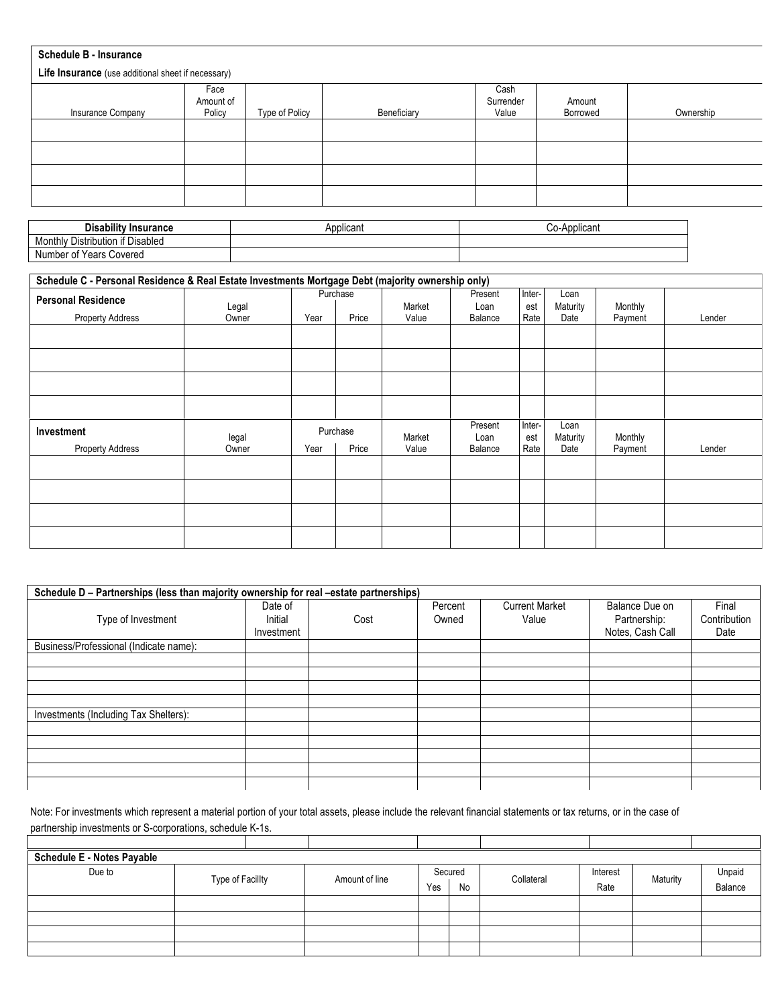| <b>Schedule B - Insurance</b>                      |                             |                |             |                            |                    |           |  |  |
|----------------------------------------------------|-----------------------------|----------------|-------------|----------------------------|--------------------|-----------|--|--|
| Life Insurance (use additional sheet if necessary) |                             |                |             |                            |                    |           |  |  |
| Insurance Company                                  | Face<br>Amount of<br>Policy | Type of Policy | Beneficiary | Cash<br>Surrender<br>Value | Amount<br>Borrowed | Ownership |  |  |
|                                                    |                             |                |             |                            |                    |           |  |  |
|                                                    |                             |                |             |                            |                    |           |  |  |
|                                                    |                             |                |             |                            |                    |           |  |  |
|                                                    |                             |                |             |                            |                    |           |  |  |

| <b>Disability</b><br>⊺Insurance                               | Applicant | Applican<br>⊶-ں ب |
|---------------------------------------------------------------|-----------|-------------------|
| $\cdots$<br>Distribution<br>` if Disabled<br>10nthiv<br>اשועו |           |                   |
| Years<br>Covered<br>∴ Number <b>o</b> *                       |           |                   |

| Schedule C - Personal Residence & Real Estate Investments Mortgage Debt (majority ownership only) |                |      |                   |                 |                            |                       |                          |                    |        |
|---------------------------------------------------------------------------------------------------|----------------|------|-------------------|-----------------|----------------------------|-----------------------|--------------------------|--------------------|--------|
| <b>Personal Residence</b><br><b>Property Address</b>                                              | Legal<br>Owner | Year | Purchase<br>Price | Market<br>Value | Present<br>Loan<br>Balance | Inter-<br>est<br>Rate | Loan<br>Maturity<br>Date | Monthly<br>Payment | Lender |
|                                                                                                   |                |      |                   |                 |                            |                       |                          |                    |        |
|                                                                                                   |                |      |                   |                 |                            |                       |                          |                    |        |
|                                                                                                   |                |      |                   |                 |                            |                       |                          |                    |        |
|                                                                                                   |                |      |                   |                 |                            |                       |                          |                    |        |
| Investment                                                                                        | legal<br>Owner | Year | Purchase<br>Price | Market<br>Value | Present<br>Loan<br>Balance | Inter-<br>est<br>Rate | Loan<br>Maturity<br>Date | Monthly            | Lender |
| <b>Property Address</b>                                                                           |                |      |                   |                 |                            |                       |                          | Payment            |        |
|                                                                                                   |                |      |                   |                 |                            |                       |                          |                    |        |
|                                                                                                   |                |      |                   |                 |                            |                       |                          |                    |        |
|                                                                                                   |                |      |                   |                 |                            |                       |                          |                    |        |

|                                        | Schedule D – Partnerships (less than majority ownership for real –estate partnerships) |      |                  |                                |                                                    |                               |  |  |  |
|----------------------------------------|----------------------------------------------------------------------------------------|------|------------------|--------------------------------|----------------------------------------------------|-------------------------------|--|--|--|
| Type of Investment                     | Date of<br>Initial<br>Investment                                                       | Cost | Percent<br>Owned | <b>Current Market</b><br>Value | Balance Due on<br>Partnership:<br>Notes, Cash Call | Final<br>Contribution<br>Date |  |  |  |
| Business/Professional (Indicate name): |                                                                                        |      |                  |                                |                                                    |                               |  |  |  |
|                                        |                                                                                        |      |                  |                                |                                                    |                               |  |  |  |
|                                        |                                                                                        |      |                  |                                |                                                    |                               |  |  |  |
|                                        |                                                                                        |      |                  |                                |                                                    |                               |  |  |  |
|                                        |                                                                                        |      |                  |                                |                                                    |                               |  |  |  |
| Investments (Including Tax Shelters):  |                                                                                        |      |                  |                                |                                                    |                               |  |  |  |
|                                        |                                                                                        |      |                  |                                |                                                    |                               |  |  |  |
|                                        |                                                                                        |      |                  |                                |                                                    |                               |  |  |  |
|                                        |                                                                                        |      |                  |                                |                                                    |                               |  |  |  |
|                                        |                                                                                        |      |                  |                                |                                                    |                               |  |  |  |
|                                        |                                                                                        |      |                  |                                |                                                    |                               |  |  |  |

Note: For investments which represent a material portion of your total assets, please include the relevant financial statements or tax returns, or in the case of partnership investments or S-corporations, schedule K-1s.

| partneromp invocantonto or o corporations, concadio it is: |                  |  |                |     |         |            |          |          |         |
|------------------------------------------------------------|------------------|--|----------------|-----|---------|------------|----------|----------|---------|
|                                                            |                  |  |                |     |         |            |          |          |         |
| <b>Schedule E - Notes Payable</b>                          |                  |  |                |     |         |            |          |          |         |
| Due to                                                     |                  |  |                |     | Secured |            | Interest |          | Unpaid  |
|                                                            | Type of Facillty |  | Amount of line | Yes | No      | Collateral | Rate     | Maturity | Balance |
|                                                            |                  |  |                |     |         |            |          |          |         |
|                                                            |                  |  |                |     |         |            |          |          |         |
|                                                            |                  |  |                |     |         |            |          |          |         |
|                                                            |                  |  |                |     |         |            |          |          |         |